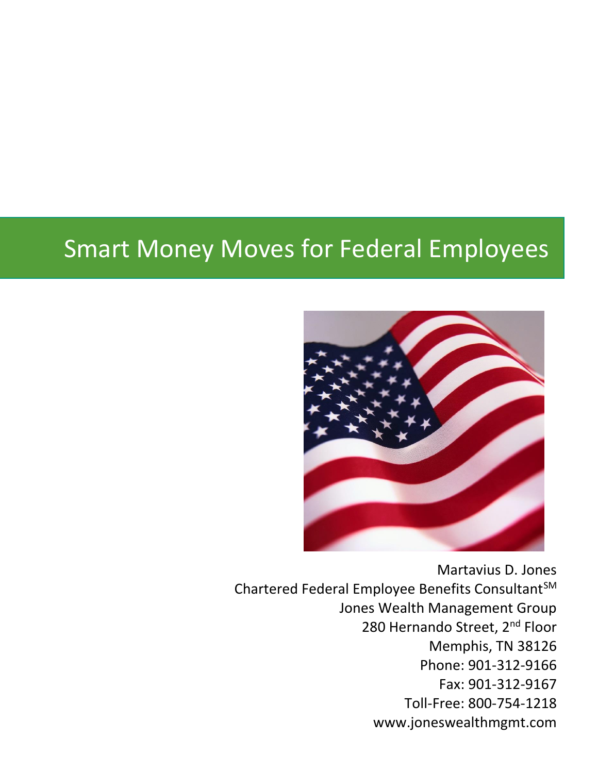## Smart Money Moves for Federal Employees



Martavius D. Jones Chartered Federal Employee Benefits Consultant<sup>SM</sup> Jones Wealth Management Group 280 Hernando Street, 2<sup>nd</sup> Floor Memphis, TN 38126 Phone: 901-312-9166 Fax: 901-312-9167 Toll-Free: 800-754-1218 www.joneswealthmgmt.com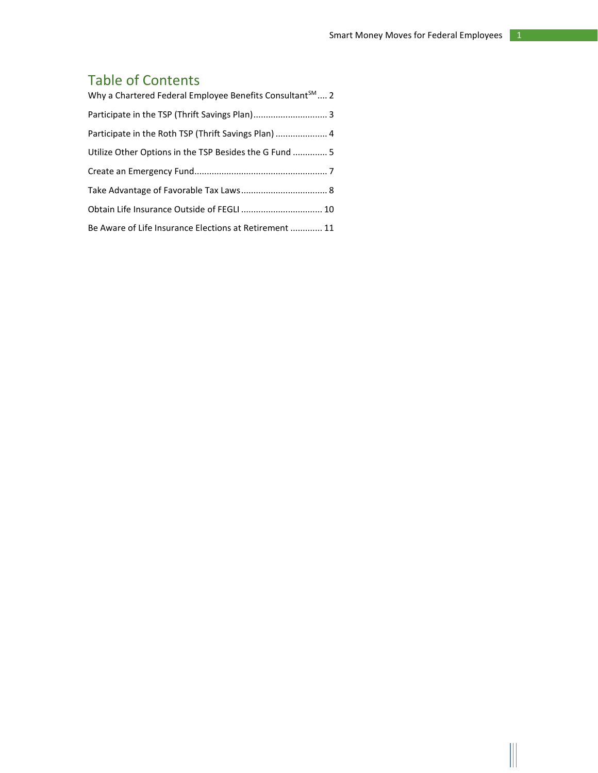## Table of Contents

| Why a Chartered Federal Employee Benefits Consultant <sup>SM</sup> 2 |
|----------------------------------------------------------------------|
| Participate in the TSP (Thrift Savings Plan) 3                       |
|                                                                      |
| Utilize Other Options in the TSP Besides the G Fund  5               |
|                                                                      |
|                                                                      |
| Obtain Life Insurance Outside of FEGLI  10                           |
| Be Aware of Life Insurance Elections at Retirement  11               |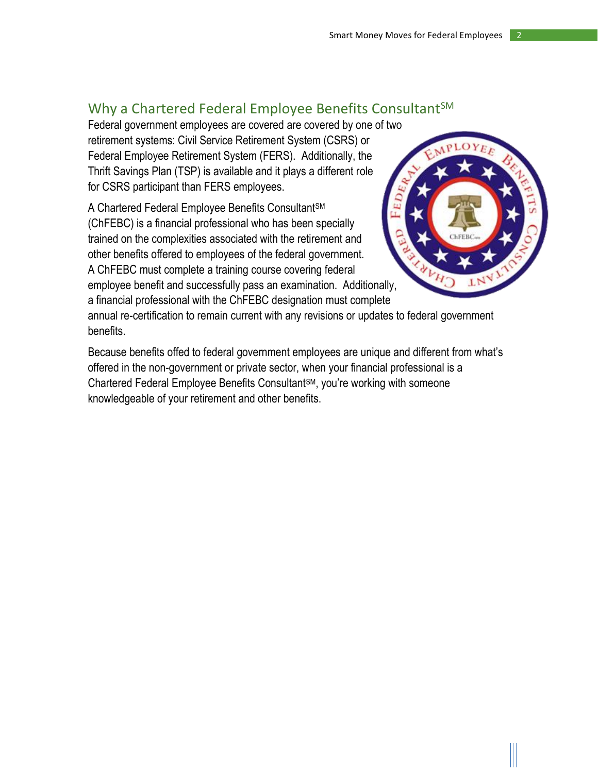## <span id="page-2-0"></span>Why a Chartered Federal Employee Benefits Consultant<sup>SM</sup>

Federal government employees are covered are covered by one of two retirement systems: Civil Service Retirement System (CSRS) or Federal Employee Retirement System (FERS). Additionally, the Thrift Savings Plan (TSP) is available and it plays a different role for CSRS participant than FERS employees.

A Chartered Federal Employee Benefits Consultant<sup>sM</sup> (ChFEBC) is a financial professional who has been specially trained on the complexities associated with the retirement and other benefits offered to employees of the federal government. A ChFEBC must complete a training course covering federal employee benefit and successfully pass an examination. Additionally, a financial professional with the ChFEBC designation must complete



annual re-certification to remain current with any revisions or updates to federal government benefits.

Because benefits offed to federal government employees are unique and different from what's offered in the non-government or private sector, when your financial professional is a Chartered Federal Employee Benefits ConsultantSM, you're working with someone knowledgeable of your retirement and other benefits.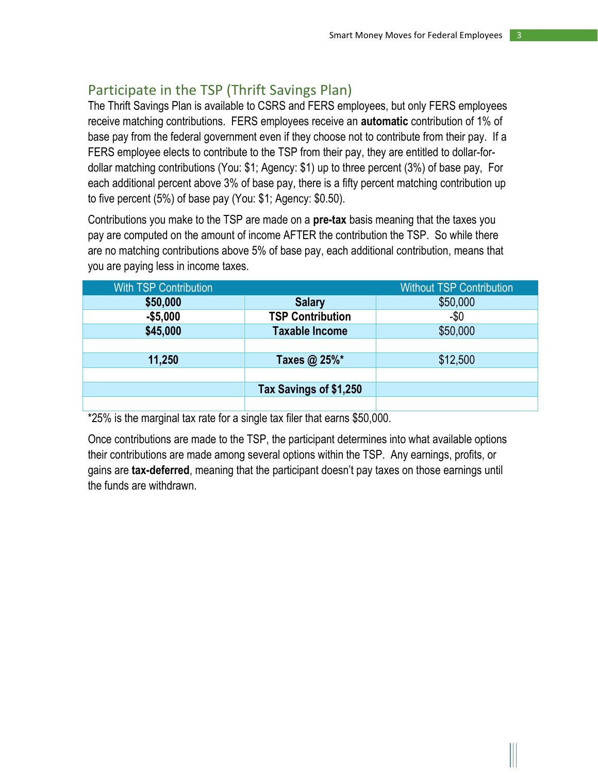## <span id="page-3-0"></span>Participate in the TSP (Thrift Savings Plan)

The Thrift Savings Plan is available to CSRS and FERS employees, but only FERS employees receive matching contributions. FERS employees receive an **automatic** contribution of 1% of base pay from the federal government even if they choose not to contribute from their pay. If a FERS employee elects to contribute to the TSP from their pay, they are entitled to dollar-fordollar matching contributions (You: \$1; Agency: \$1) up to three percent (3%) of base pay, For each additional percent above 3% of base pay, there is a fifty percent matching contribution up to five percent (5%) of base pay (You: \$1; Agency: \$0.50).

Contributions you make to the TSP are made on a **pre-tax** basis meaning that the taxes you pay are computed on the amount of income AFTER the contribution the TSP. So while there are no matching contributions above 5% of base pay, each additional contribution, means that you are paying less in income taxes.

| <b>With TSP Contribution</b> |                         | <b>Without TSP Contribution</b> |
|------------------------------|-------------------------|---------------------------------|
| \$50,000                     | <b>Salary</b>           | \$50,000                        |
| $-$5,000$                    | <b>TSP Contribution</b> | $-50$                           |
| \$45,000                     | <b>Taxable Income</b>   | \$50,000                        |
|                              |                         |                                 |
| 11,250                       | Taxes @ 25%*            | \$12,500                        |
|                              |                         |                                 |
|                              | Tax Savings of \$1,250  |                                 |
|                              |                         |                                 |

\*25% is the marginal tax rate for a single tax filer that earns \$50,000.

Once contributions are made to the TSP, the participant determines into what available options their contributions are made among several options within the TSP. Any earnings, profits, or gains are **tax-deferred**, meaning that the participant doesn't pay taxes on those earnings until the funds are withdrawn.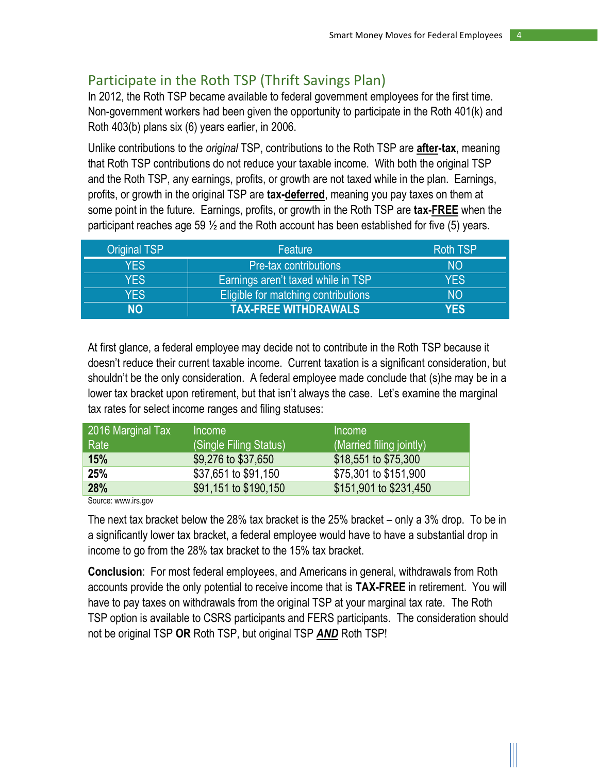## <span id="page-4-0"></span>Participate in the Roth TSP (Thrift Savings Plan)

In 2012, the Roth TSP became available to federal government employees for the first time. Non-government workers had been given the opportunity to participate in the Roth 401(k) and Roth 403(b) plans six (6) years earlier, in 2006.

Unlike contributions to the *original* TSP, contributions to the Roth TSP are **after-tax**, meaning that Roth TSP contributions do not reduce your taxable income. With both the original TSP and the Roth TSP, any earnings, profits, or growth are not taxed while in the plan. Earnings, profits, or growth in the original TSP are **tax-deferred**, meaning you pay taxes on them at some point in the future. Earnings, profits, or growth in the Roth TSP are **tax-FREE** when the participant reaches age 59  $\frac{1}{2}$  and the Roth account has been established for five (5) years.

| <b>Original TSP</b> | Feature                             | <b>Roth TSP</b> |
|---------------------|-------------------------------------|-----------------|
| <b>YES</b>          | <b>Pre-tax contributions</b>        | NO.             |
| <b>YES</b>          | Earnings aren't taxed while in TSP  | <b>YES</b>      |
| <b>YES</b>          | Eligible for matching contributions | <b>NO</b>       |
| ΝO                  | <b>TAX-FREE WITHDRAWALS</b>         | <b>YES</b>      |

At first glance, a federal employee may decide not to contribute in the Roth TSP because it doesn't reduce their current taxable income. Current taxation is a significant consideration, but shouldn't be the only consideration. A federal employee made conclude that (s)he may be in a lower tax bracket upon retirement, but that isn't always the case. Let's examine the marginal tax rates for select income ranges and filing statuses:

| 2016 Marginal Tax | <b>Income</b>          | <i>Income</i>            |
|-------------------|------------------------|--------------------------|
| Rate              | (Single Filing Status) | (Married filing jointly) |
| 15%               | \$9,276 to \$37,650    | \$18,551 to \$75,300     |
| 25%               | \$37,651 to \$91,150   | \$75,301 to \$151,900    |
| 28%               | \$91,151 to \$190,150  | \$151,901 to \$231,450   |

Source: www.irs.gov

The next tax bracket below the 28% tax bracket is the 25% bracket – only a 3% drop. To be in a significantly lower tax bracket, a federal employee would have to have a substantial drop in income to go from the 28% tax bracket to the 15% tax bracket.

**Conclusion**: For most federal employees, and Americans in general, withdrawals from Roth accounts provide the only potential to receive income that is **TAX-FREE** in retirement. You will have to pay taxes on withdrawals from the original TSP at your marginal tax rate. The Roth TSP option is available to CSRS participants and FERS participants. The consideration should not be original TSP **OR** Roth TSP, but original TSP *AND* Roth TSP!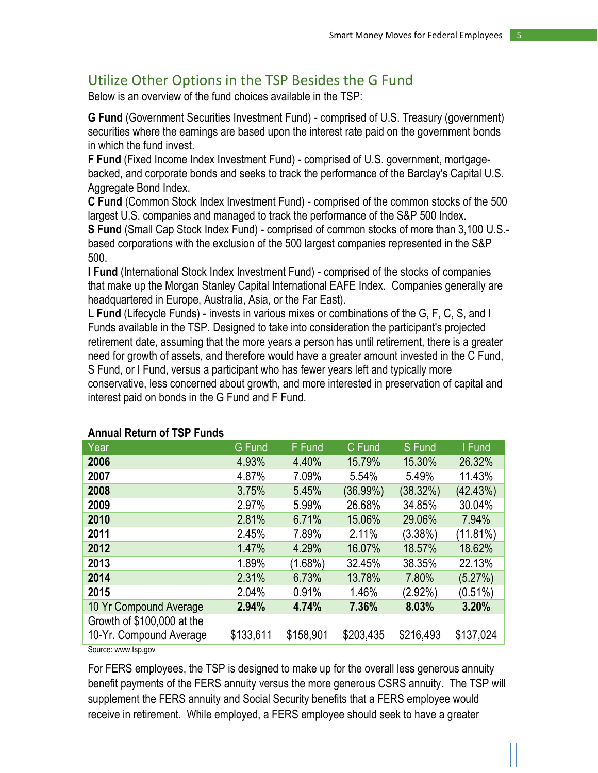## <span id="page-5-0"></span>Utilize Other Options in the TSP Besides the G Fund

Below is an overview of the fund choices available in the TSP:

**G Fund** (Government Securities Investment Fund) - comprised of U.S. Treasury (government) securities where the earnings are based upon the interest rate paid on the government bonds in which the fund invest.

**F Fund** (Fixed Income Index Investment Fund) - comprised of U.S. government, mortgagebacked, and corporate bonds and seeks to track the performance of the Barclay's Capital U.S. Aggregate Bond Index.

**C Fund** (Common Stock Index Investment Fund) - comprised of the common stocks of the 500 largest U.S. companies and managed to track the performance of the S&P 500 Index.

**S Fund** (Small Cap Stock Index Fund) - comprised of common stocks of more than 3,100 U.S. based corporations with the exclusion of the 500 largest companies represented in the S&P 500.

**I Fund** (International Stock Index Investment Fund) - comprised of the stocks of companies that make up the Morgan Stanley Capital International EAFE Index. Companies generally are headquartered in Europe, Australia, Asia, or the Far East).

**L Fund** (Lifecycle Funds) - invests in various mixes or combinations of the G, F, C, S, and I Funds available in the TSP. Designed to take into consideration the participant's projected retirement date, assuming that the more years a person has until retirement, there is a greater need for growth of assets, and therefore would have a greater amount invested in the C Fund, S Fund, or I Fund, versus a participant who has fewer years left and typically more conservative, less concerned about growth, and more interested in preservation of capital and interest paid on bonds in the G Fund and F Fund.

| Year                       | <b>G</b> Fund | <b>F</b> Fund | C Fund      | S Fund     | I Fund     |
|----------------------------|---------------|---------------|-------------|------------|------------|
| 2006                       | 4.93%         | 4.40%         | 15.79%      | 15.30%     | 26.32%     |
| 2007                       | 4.87%         | 7.09%         | 5.54%       | 5.49%      | 11.43%     |
| 2008                       | 3.75%         | 5.45%         | $(36.99\%)$ | (38.32%)   | (42.43%)   |
| 2009                       | 2.97%         | 5.99%         | 26.68%      | 34.85%     | 30.04%     |
| 2010                       | 2.81%         | 6.71%         | 15.06%      | 29.06%     | 7.94%      |
| 2011                       | 2.45%         | 7.89%         | 2.11%       | $(3.38\%)$ | (11.81%)   |
| 2012                       | 1.47%         | 4.29%         | 16.07%      | 18.57%     | 18.62%     |
| 2013                       | 1.89%         | $(1.68\%)$    | 32.45%      | 38.35%     | 22.13%     |
| 2014                       | 2.31%         | 6.73%         | 13.78%      | 7.80%      | (5.27%)    |
| 2015                       | 2.04%         | 0.91%         | 1.46%       | $(2.92\%)$ | $(0.51\%)$ |
| 10 Yr Compound Average     | 2.94%         | 4.74%         | 7.36%       | 8.03%      | 3.20%      |
| Growth of \$100,000 at the |               |               |             |            |            |
| 10-Yr. Compound Average    | \$133,611     | \$158,901     | \$203,435   | \$216,493  | \$137,024  |

#### **Annual Return of TSP Funds**

Source: www.tsp.gov

For FERS employees, the TSP is designed to make up for the overall less generous annuity benefit payments of the FERS annuity versus the more generous CSRS annuity. The TSP will supplement the FERS annuity and Social Security benefits that a FERS employee would receive in retirement. While employed, a FERS employee should seek to have a greater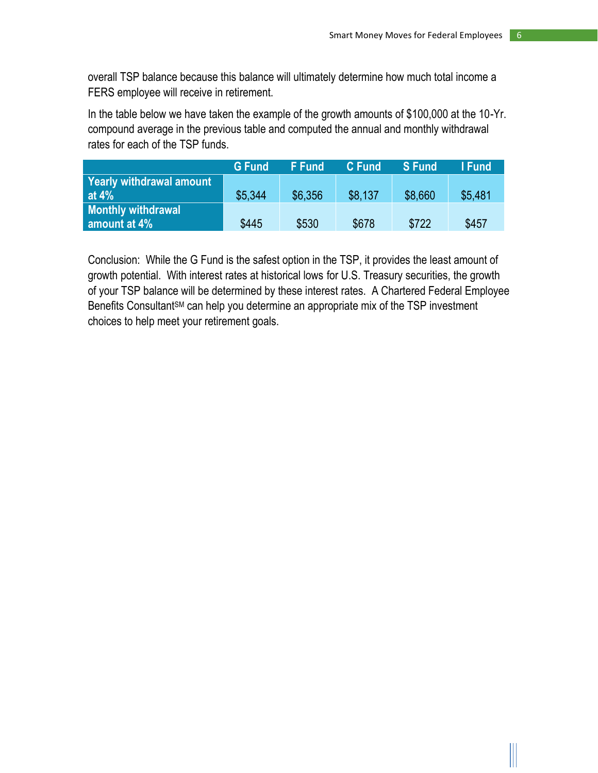overall TSP balance because this balance will ultimately determine how much total income a FERS employee will receive in retirement.

In the table below we have taken the example of the growth amounts of \$100,000 at the 10-Yr. compound average in the previous table and computed the annual and monthly withdrawal rates for each of the TSP funds.

|                          | <b>G</b> Fund | <b>F</b> Fund | <b>C</b> Fund | <b>S</b> Fund | I Fund  |
|--------------------------|---------------|---------------|---------------|---------------|---------|
| Yearly withdrawal amount |               |               |               |               |         |
| at $4\%$                 | \$5.344       | \$6,356       | \$8.137       | \$8.660       | \$5,481 |
| Monthly withdrawal       |               |               |               |               |         |
| amount at 4%             | \$445         | \$530         | \$678         | \$722         | \$457   |

Conclusion: While the G Fund is the safest option in the TSP, it provides the least amount of growth potential. With interest rates at historical lows for U.S. Treasury securities, the growth of your TSP balance will be determined by these interest rates. A Chartered Federal Employee Benefits Consultant<sup>SM</sup> can help you determine an appropriate mix of the TSP investment choices to help meet your retirement goals.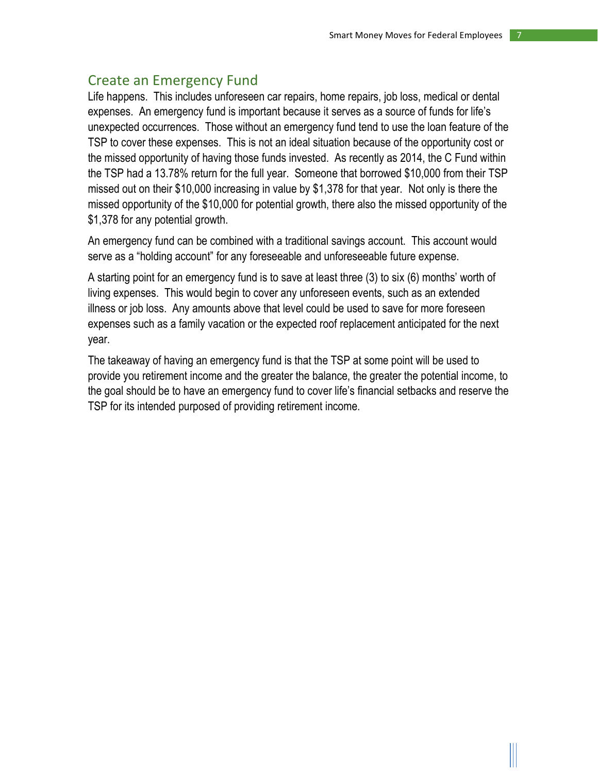## <span id="page-7-0"></span>Create an Emergency Fund

Life happens. This includes unforeseen car repairs, home repairs, job loss, medical or dental expenses. An emergency fund is important because it serves as a source of funds for life's unexpected occurrences. Those without an emergency fund tend to use the loan feature of the TSP to cover these expenses. This is not an ideal situation because of the opportunity cost or the missed opportunity of having those funds invested. As recently as 2014, the C Fund within the TSP had a 13.78% return for the full year. Someone that borrowed \$10,000 from their TSP missed out on their \$10,000 increasing in value by \$1,378 for that year. Not only is there the missed opportunity of the \$10,000 for potential growth, there also the missed opportunity of the \$1,378 for any potential growth.

An emergency fund can be combined with a traditional savings account. This account would serve as a "holding account" for any foreseeable and unforeseeable future expense.

A starting point for an emergency fund is to save at least three (3) to six (6) months' worth of living expenses. This would begin to cover any unforeseen events, such as an extended illness or job loss. Any amounts above that level could be used to save for more foreseen expenses such as a family vacation or the expected roof replacement anticipated for the next year.

The takeaway of having an emergency fund is that the TSP at some point will be used to provide you retirement income and the greater the balance, the greater the potential income, to the goal should be to have an emergency fund to cover life's financial setbacks and reserve the TSP for its intended purposed of providing retirement income.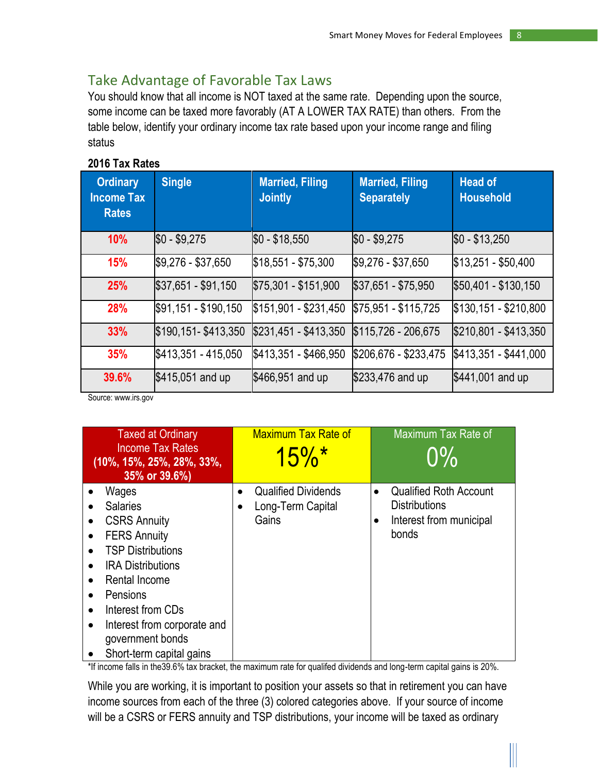## <span id="page-8-0"></span>Take Advantage of Favorable Tax Laws

You should know that all income is NOT taxed at the same rate. Depending upon the source, some income can be taxed more favorably (AT A LOWER TAX RATE) than others. From the table below, identify your ordinary income tax rate based upon your income range and filing status

#### **2016 Tax Rates**

| <b>Ordinary</b><br><b>Income Tax</b><br><b>Rates</b> | <b>Single</b>        | <b>Married, Filing</b><br><b>Jointly</b> | <b>Married, Filing</b><br><b>Separately</b> | <b>Head of</b><br><b>Household</b> |
|------------------------------------------------------|----------------------|------------------------------------------|---------------------------------------------|------------------------------------|
| <b>10%</b>                                           | $$0 - $9,275$        | $$0 - $18,550$                           | $$0 - $9,275$                               | $$0 - $13,250$                     |
| 15%                                                  | \$9,276 - \$37,650   | $$18,551 - $75,300$                      | \$9,276 - \$37,650                          | $$13,251 - $50,400$                |
| 25%                                                  | $$37,651 - $91,150$  | $$75,301 - $151,900$                     | $$37,651 - $75,950$                         | \$50,401 - \$130,150               |
| 28%                                                  | \$91,151 - \$190,150 | \$151,901 - \$231,450                    | \$75,951 - \$115,725                        | \$130,151 - \$210,800              |
| 33%                                                  | \$190,151-\$413,350  | \$231,451 - \$413,350                    | \$115,726 - 206,675                         | \$210,801 - \$413,350              |
| 35%                                                  | \$413,351 - 415,050  | \$413,351 - \$466,950                    | \$206,676 - \$233,475                       | \$413,351 - \$441,000              |
| 39.6%                                                | $$415,051$ and up    | \$466,951 and up                         | \$233,476 and up                            | \$441,001 and up                   |

Source: www.irs.gov

| <b>Taxed at Ordinary</b><br><b>Income Tax Rates</b><br>$(10\%, 15\%, 25\%, 28\%, 33\%,$<br>35% or 39.6%)                                                                                                                                                                                                                                                   | <b>Maximum Tax Rate of</b><br>$15\%$ <sup>*</sup>                     | Maximum Tax Rate of<br>$0\%$                                                              |
|------------------------------------------------------------------------------------------------------------------------------------------------------------------------------------------------------------------------------------------------------------------------------------------------------------------------------------------------------------|-----------------------------------------------------------------------|-------------------------------------------------------------------------------------------|
| Wages<br><b>Salaries</b><br>$\bullet$<br><b>CSRS Annuity</b><br><b>FERS Annuity</b><br>$\bullet$<br><b>TSP Distributions</b><br>$\bullet$<br><b>IRA Distributions</b><br>$\bullet$<br>Rental Income<br>Pensions<br>$\bullet$<br>Interest from CDs<br>$\bullet$<br>Interest from corporate and<br>$\bullet$<br>government bonds<br>Short-term capital gains | <b>Qualified Dividends</b><br>$\bullet$<br>Long-Term Capital<br>Gains | <b>Qualified Roth Account</b><br><b>Distributions</b><br>Interest from municipal<br>bonds |

\*If income falls in the39.6% tax bracket, the maximum rate for qualifed dividends and long-term capital gains is 20%.

While you are working, it is important to position your assets so that in retirement you can have income sources from each of the three (3) colored categories above. If your source of income will be a CSRS or FERS annuity and TSP distributions, your income will be taxed as ordinary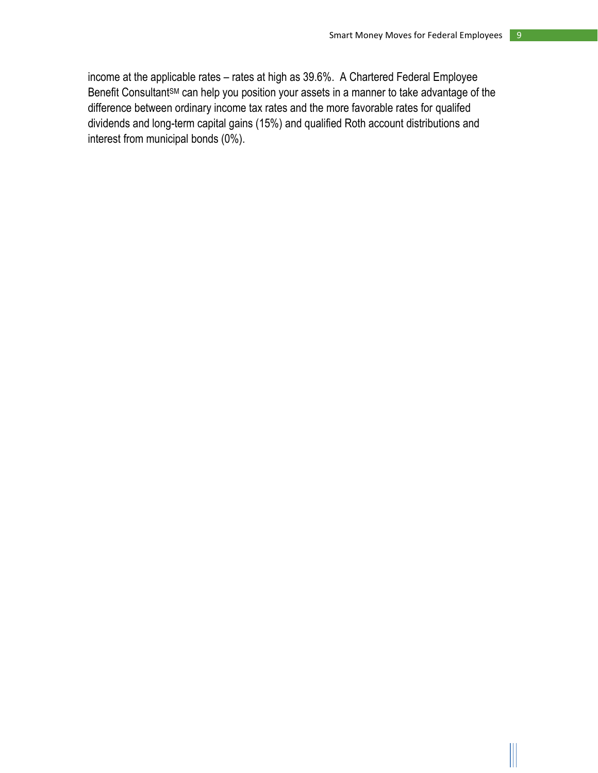income at the applicable rates – rates at high as 39.6%. A Chartered Federal Employee Benefit Consultant<sup>SM</sup> can help you position your assets in a manner to take advantage of the difference between ordinary income tax rates and the more favorable rates for qualifed dividends and long-term capital gains (15%) and qualified Roth account distributions and interest from municipal bonds (0%).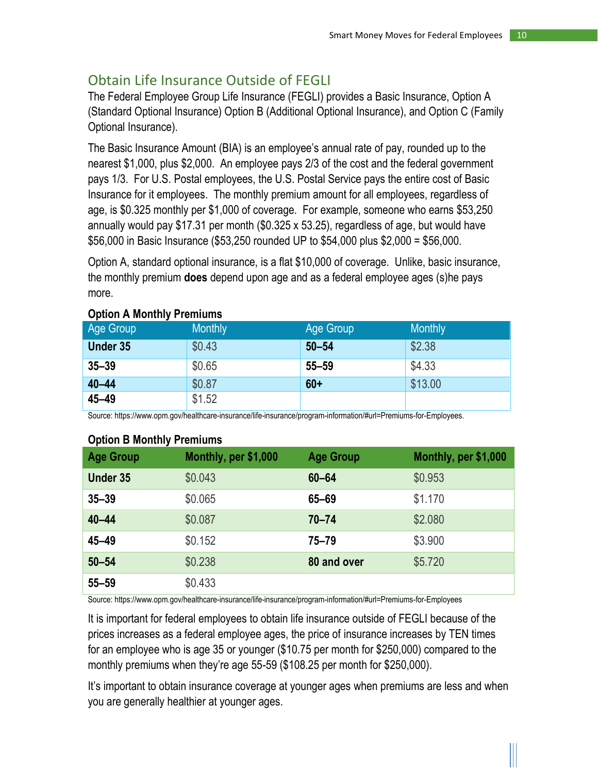## <span id="page-10-0"></span>Obtain Life Insurance Outside of FEGLI

The Federal Employee Group Life Insurance (FEGLI) provides a Basic Insurance, Option A (Standard Optional Insurance) Option B (Additional Optional Insurance), and Option C (Family Optional Insurance).

The Basic Insurance Amount (BIA) is an employee's annual rate of pay, rounded up to the nearest \$1,000, plus \$2,000. An employee pays 2/3 of the cost and the federal government pays 1/3. For U.S. Postal employees, the U.S. Postal Service pays the entire cost of Basic Insurance for it employees. The monthly premium amount for all employees, regardless of age, is \$0.325 monthly per \$1,000 of coverage. For example, someone who earns \$53,250 annually would pay \$17.31 per month (\$0.325 x 53.25), regardless of age, but would have \$56,000 in Basic Insurance (\$53,250 rounded UP to \$54,000 plus \$2,000 = \$56,000.

Option A, standard optional insurance, is a flat \$10,000 of coverage. Unlike, basic insurance, the monthly premium **does** depend upon age and as a federal employee ages (s)he pays more.

| Age Group       | <b>Monthly</b> | <b>Age Group</b> | <b>Monthly</b> |
|-----------------|----------------|------------------|----------------|
| <b>Under 35</b> | \$0.43         | $50 - 54$        | \$2.38         |
| $35 - 39$       | \$0.65         | $55 - 59$        | \$4.33         |
| $40 - 44$       | \$0.87         | $60+$            | \$13.00        |
| $45 - 49$       | \$1.52         |                  |                |

#### **Option A Monthly Premiums**

Source: https://www.opm.gov/healthcare-insurance/life-insurance/program-information/#url=Premiums-for-Employees.

#### **Option B Monthly Premiums**

| -<br><b>Age Group</b> | Monthly, per \$1,000 | <b>Age Group</b> | Monthly, per \$1,000 |
|-----------------------|----------------------|------------------|----------------------|
| <b>Under 35</b>       | \$0.043              | $60 - 64$        | \$0.953              |
| $35 - 39$             | \$0.065              | 65-69            | \$1.170              |
| $40 - 44$             | \$0.087              | $70 - 74$        | \$2.080              |
| $45 - 49$             | \$0.152              | $75 - 79$        | \$3.900              |
| $50 - 54$             | \$0.238              | 80 and over      | \$5.720              |
| $55 - 59$             | \$0.433              |                  |                      |

Source: https://www.opm.gov/healthcare-insurance/life-insurance/program-information/#url=Premiums-for-Employees

It is important for federal employees to obtain life insurance outside of FEGLI because of the prices increases as a federal employee ages, the price of insurance increases by TEN times for an employee who is age 35 or younger (\$10.75 per month for \$250,000) compared to the monthly premiums when they're age 55-59 (\$108.25 per month for \$250,000).

It's important to obtain insurance coverage at younger ages when premiums are less and when you are generally healthier at younger ages.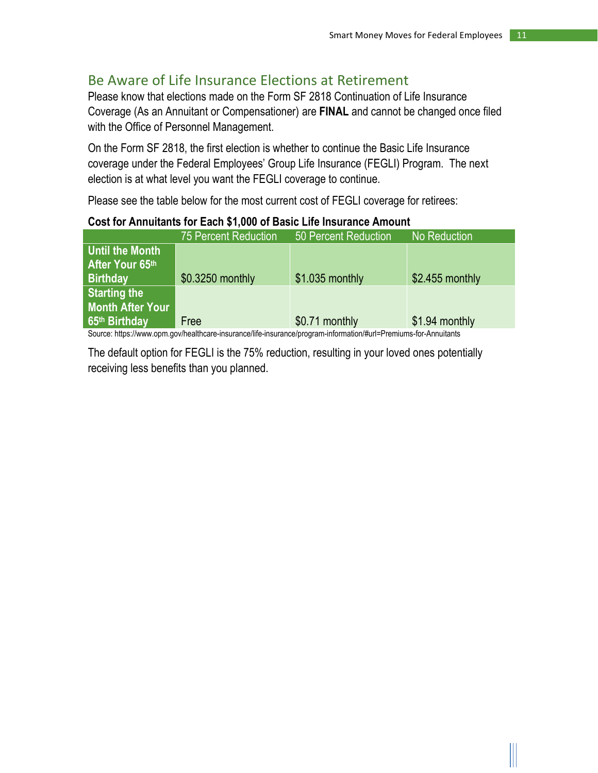### <span id="page-11-0"></span>Be Aware of Life Insurance Elections at Retirement

Please know that elections made on the Form SF 2818 Continuation of Life Insurance Coverage (As an Annuitant or Compensationer) are **FINAL** and cannot be changed once filed with the Office of Personnel Management.

On the Form SF 2818, the first election is whether to continue the Basic Life Insurance coverage under the Federal Employees' Group Life Insurance (FEGLI) Program. The next election is at what level you want the FEGLI coverage to continue.

Please see the table below for the most current cost of FEGLI coverage for retirees:

#### **Cost for Annuitants for Each \$1,000 of Basic Life Insurance Amount**

|                         | <b>75 Percent Reduction</b> | 50 Percent Reduction                                                                                                                                                                                                               | No Reduction     |
|-------------------------|-----------------------------|------------------------------------------------------------------------------------------------------------------------------------------------------------------------------------------------------------------------------------|------------------|
| Until the Month         |                             |                                                                                                                                                                                                                                    |                  |
| After Your 65th         |                             |                                                                                                                                                                                                                                    |                  |
| <b>Birthday</b>         | \$0.3250 monthly            | $$1.035$ monthly                                                                                                                                                                                                                   | $$2.455$ monthly |
| <b>Starting the</b>     |                             |                                                                                                                                                                                                                                    |                  |
| <b>Month After Your</b> |                             |                                                                                                                                                                                                                                    |                  |
| 65th Birthday           | Free                        | \$0.71 monthly                                                                                                                                                                                                                     | \$1.94 monthly   |
|                         |                             | $\bullet$ in the finite state of the finite state of the finite state of the finite state of the finite state of the state of the state of the state of the state of the state of the state of the state of the state of the state |                  |

Source: https://www.opm.gov/healthcare-insurance/life-insurance/program-information/#url=Premiums-for-Annuitants

The default option for FEGLI is the 75% reduction, resulting in your loved ones potentially receiving less benefits than you planned.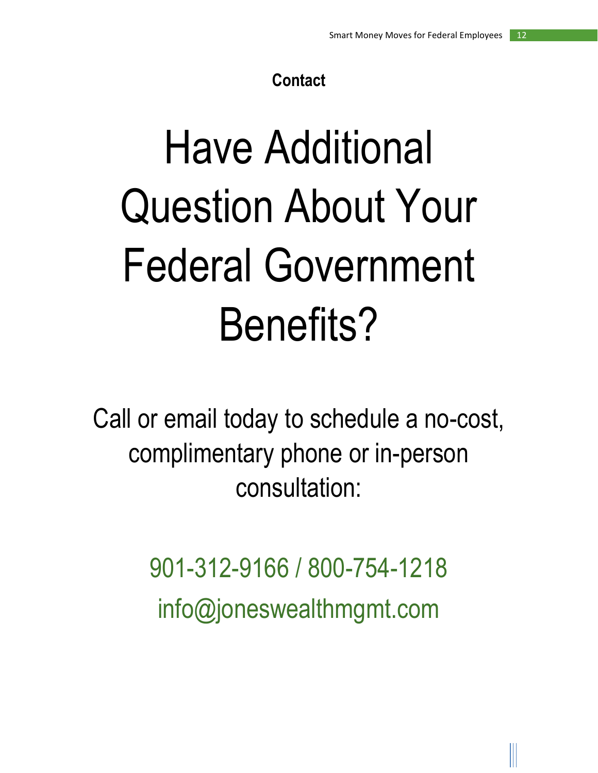## **Contact**

# Have Additional Question About Your Federal Government Benefits?

Call or email today to schedule a no-cost, complimentary phone or in-person consultation:

> 901-312-9166 / 800-754-1218 info@joneswealthmgmt.com